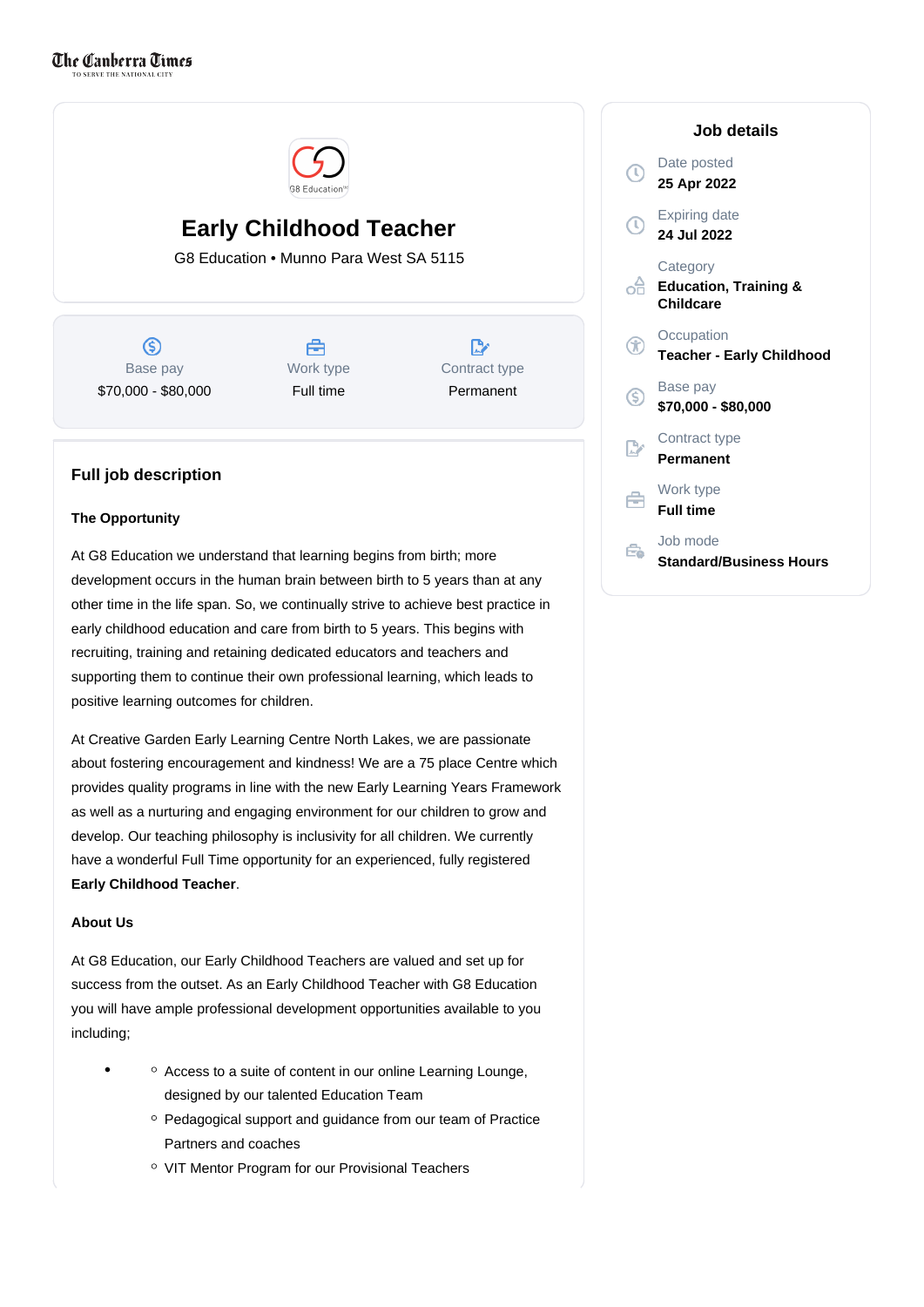

# **Early Childhood Teacher**

G8 Education • Munno Para West SA 5115

 $\circledS$ Base pay \$70,000 - \$80,000

合 Work type Full time

D. Contract type Permanent

## **Full job description**

### **The Opportunity**

At G8 Education we understand that learning begins from birth; more development occurs in the human brain between birth to 5 years than at any other time in the life span. So, we continually strive to achieve best practice in early childhood education and care from birth to 5 years. This begins with recruiting, training and retaining dedicated educators and teachers and supporting them to continue their own professional learning, which leads to positive learning outcomes for children.

At Creative Garden Early Learning Centre North Lakes, we are passionate about fostering encouragement and kindness! We are a 75 place Centre which provides quality programs in line with the new Early Learning Years Framework as well as a nurturing and engaging environment for our children to grow and develop. Our teaching philosophy is inclusivity for all children. We currently have a wonderful Full Time opportunity for an experienced, fully registered **Early Childhood Teacher**.

### **About Us**

At G8 Education, our Early Childhood Teachers are valued and set up for success from the outset. As an Early Childhood Teacher with G8 Education you will have ample professional development opportunities available to you including;

- Access to a suite of content in our online Learning Lounge, designed by our talented Education Team
	- $\degree$  Pedagogical support and guidance from our team of Practice Partners and coaches
	- VIT Mentor Program for our Provisional Teachers

|                | Job details                                               |
|----------------|-----------------------------------------------------------|
| τ              | Date posted<br>25 Apr 2022                                |
| Ţ              | <b>Expiring date</b><br>24 Jul 2022                       |
| ۰Ħ             | Category<br><b>Education, Training &amp;</b><br>Childcare |
| $\mathbf \pi$  | Occupation<br><b>Teacher - Early Childhood</b>            |
| S              | Base pay<br>\$70,000 - \$80,000                           |
| $\mathbb{R}^n$ | Contract type<br><b>Permanent</b>                         |
| €              | Work type<br><b>Full time</b>                             |
|                | Job mode<br><b>Standard/Business Hours</b>                |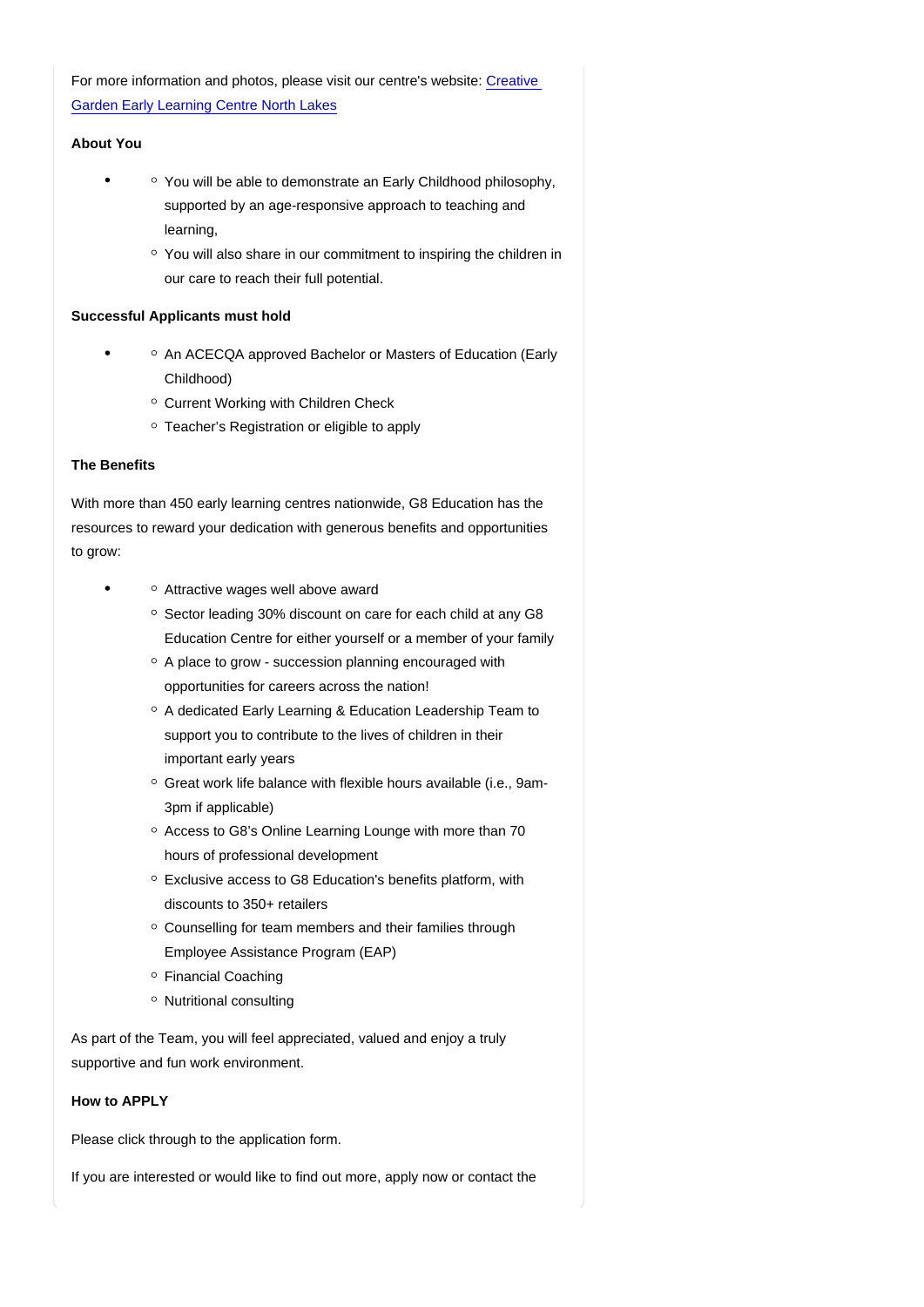## For more information and photos, please visit our centre's website: [Creative](https://www.creativegarden.com.au/centres/childcare-munno-para-west/?utm_source=google&utm_medium=organic&utm_campaign=gmb)  [Garden Early Learning Centre North Lakes](https://www.creativegarden.com.au/centres/childcare-munno-para-west/?utm_source=google&utm_medium=organic&utm_campaign=gmb)

### About You

- You will be able to demonstrate an Early Childhood philosophy, supported by an age-responsive approach to teaching and learning,
	- You will also share in our commitment to inspiring the children in our care to reach their full potential.

#### Successful Applicants must hold

- An ACECQA approved Bachelor or Masters of Education (Early Childhood)
	- Current Working with Children Check
	- <sup>o</sup> Teacher's Registration or eligible to apply

### The Benefits

With more than 450 early learning centres nationwide, G8 Education has the resources to reward your dedication with generous benefits and opportunities to grow:

- Attractive wages well above award
	- Sector leading 30% discount on care for each child at any G8 Education Centre for either yourself or a member of your family
	- $\circ$  A place to grow succession planning encouraged with opportunities for careers across the nation!
	- $\circ$  A dedicated Early Learning & Education Leadership Team to support you to contribute to the lives of children in their important early years
	- Great work life balance with flexible hours available (i.e., 9am-3pm if applicable)
	- $\circ$  Access to G8's Online Learning Lounge with more than 70 hours of professional development
	- $\circ$  Exclusive access to G8 Education's benefits platform, with discounts to 350+ retailers
	- $\circ$  Counselling for team members and their families through Employee Assistance Program (EAP)
	- Financial Coaching
	- Nutritional consulting

As part of the Team, you will feel appreciated, valued and enjoy a truly supportive and fun work environment.

How to APPLY

Please click through to the application form.

If you are interested or would like to find out more, apply now or contact the